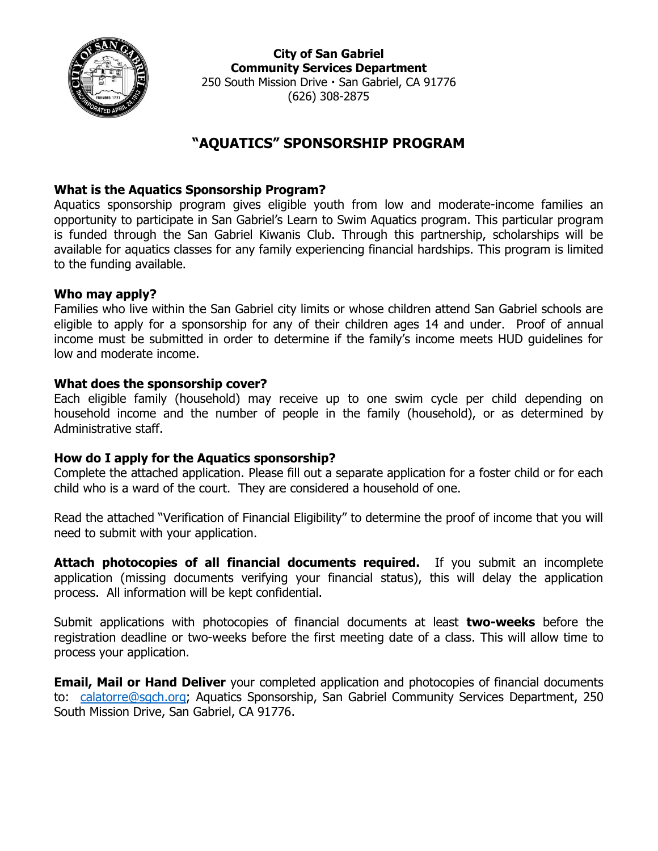

**City of San Gabriel Community Services Department** 250 South Mission Drive · San Gabriel, CA 91776 (626) 308-2875

# **"AQUATICS" SPONSORSHIP PROGRAM**

## **What is the Aquatics Sponsorship Program?**

Aquatics sponsorship program gives eligible youth from low and moderate-income families an opportunity to participate in San Gabriel's Learn to Swim Aquatics program. This particular program is funded through the San Gabriel Kiwanis Club. Through this partnership, scholarships will be available for aquatics classes for any family experiencing financial hardships. This program is limited to the funding available.

### **Who may apply?**

Families who live within the San Gabriel city limits or whose children attend San Gabriel schools are eligible to apply for a sponsorship for any of their children ages 14 and under. Proof of annual income must be submitted in order to determine if the family's income meets HUD guidelines for low and moderate income.

### **What does the sponsorship cover?**

Each eligible family (household) may receive up to one swim cycle per child depending on household income and the number of people in the family (household), or as determined by Administrative staff.

## **How do I apply for the Aquatics sponsorship?**

Complete the attached application. Please fill out a separate application for a foster child or for each child who is a ward of the court. They are considered a household of one.

Read the attached "Verification of Financial Eligibility" to determine the proof of income that you will need to submit with your application.

**Attach photocopies of all financial documents required.** If you submit an incomplete application (missing documents verifying your financial status), this will delay the application process. All information will be kept confidential.

Submit applications with photocopies of financial documents at least **two-weeks** before the registration deadline or two-weeks before the first meeting date of a class. This will allow time to process your application.

**Email, Mail or Hand Deliver** your completed application and photocopies of financial documents to: [calatorre@sgch.org;](mailto:calatorre@sgch.org) Aquatics Sponsorship, San Gabriel Community Services Department, 250 South Mission Drive, San Gabriel, CA 91776.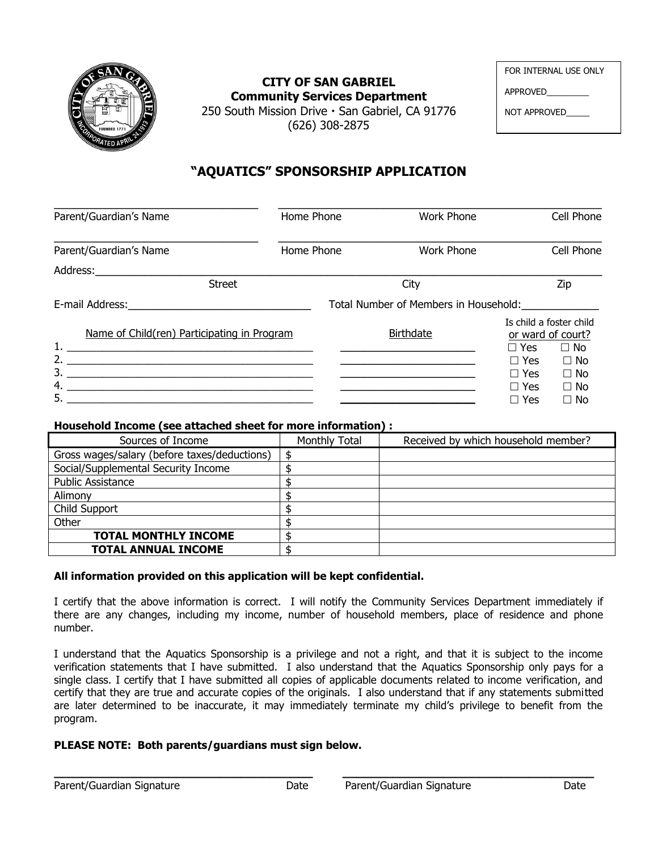

**CITY OF SAN GABRIEL Community Services Department**

| APPROVED     |  |
|--------------|--|
| NOT APPROVED |  |

FOR INTERNAL USE ONLY

250 South Mission Drive  $\cdot$  San Gabriel, CA 91776 (626) 308-2875

## **"AQUATICS" SPONSORSHIP APPLICATION**

| Parent/Guardian's Name                      | Home Phone                            | Work Phone        |                                                    | Cell Phone                                                              |  |
|---------------------------------------------|---------------------------------------|-------------------|----------------------------------------------------|-------------------------------------------------------------------------|--|
| Parent/Guardian's Name                      | Home Phone                            | <b>Work Phone</b> |                                                    | Cell Phone                                                              |  |
| Address:_____________                       |                                       |                   |                                                    |                                                                         |  |
| <b>Street</b>                               |                                       | City              |                                                    | Zip                                                                     |  |
|                                             | Total Number of Members in Household: |                   |                                                    |                                                                         |  |
| Name of Child(ren) Participating in Program |                                       | <b>Birthdate</b>  |                                                    | Is child a foster child<br>or ward of court?<br>$\Box$ Yes<br>$\Box$ No |  |
| $\overline{\mathbf{3.}}$<br>5.              |                                       |                   | $\Box$ Yes<br>$\Box$ Yes<br>$\Box$ Yes<br>Yes<br>П | $\Box$ No<br>$\Box$ No<br>$\Box$ No<br>$\Box$ No                        |  |

### **Household Income (see attached sheet for more information) :**

| Sources of Income                            | Monthly Total | Received by which household member? |
|----------------------------------------------|---------------|-------------------------------------|
| Gross wages/salary (before taxes/deductions) |               |                                     |
| Social/Supplemental Security Income          |               |                                     |
| <b>Public Assistance</b>                     |               |                                     |
| Alimony                                      |               |                                     |
| Child Support                                |               |                                     |
| Other                                        |               |                                     |
| <b>TOTAL MONTHLY INCOME</b>                  |               |                                     |
| <b>TOTAL ANNUAL INCOME</b>                   |               |                                     |

### **All information provided on this application will be kept confidential.**

I certify that the above information is correct. I will notify the Community Services Department immediately if there are any changes, including my income, number of household members, place of residence and phone number.

I understand that the Aquatics Sponsorship is a privilege and not a right, and that it is subject to the income verification statements that I have submitted. I also understand that the Aquatics Sponsorship only pays for a single class. I certify that I have submitted all copies of applicable documents related to income verification, and certify that they are true and accurate copies of the originals. I also understand that if any statements submitted are later determined to be inaccurate, it may immediately terminate my child's privilege to benefit from the program.

#### **PLEASE NOTE: Both parents/guardians must sign below.**